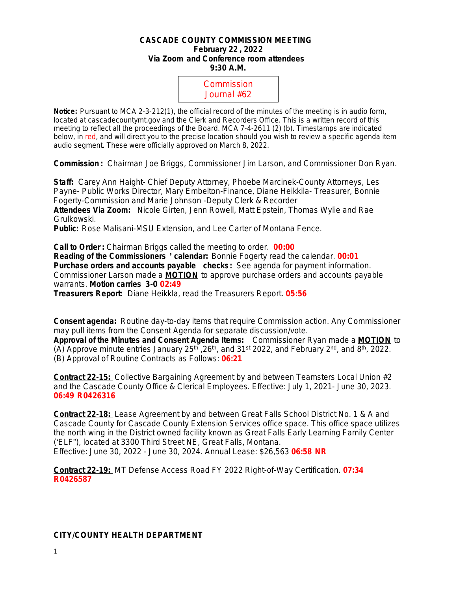#### **CASCADE COUNTY COMMISSION MEETING February 22 , 2022 Via Zoom and Conference room attendees 9:30 A.M.**



**Notice:** Pursuant to MCA 2-3-212(1), the official record of the minutes of the meeting is in audio form, located at cascadecountymt.gov and the Clerk and Recorders Office. This is a written record of this meeting to reflect all the proceedings of the Board. MCA 7-4-2611 (2) (b). Timestamps are indicated below, in red, and will direct you to the precise location should you wish to review a specific agenda item audio segment. These were officially approved on March 8, 2022.

**Commission :** Chairman Joe Briggs, Commissioner Jim Larson, and Commissioner Don Ryan.

**Staff:** Carey Ann Haight- Chief Deputy Attorney, Phoebe Marcinek-County Attorneys, Les Payne- Public Works Director, Mary Embelton-Finance, Diane Heikkila- Treasurer, Bonnie Fogerty-Commission and Marie Johnson -Deputy Clerk & Recorder **Attendees Via Zoom:** Nicole Girten, Jenn Rowell, Matt Epstein, Thomas Wylie and Rae Grulkowski.

**Public:** Rose Malisani-MSU Extension, and Lee Carter of Montana Fence.

**Call to Order :** Chairman Briggs called the meeting to order. **00:00 Reading of the Commissioners** ' **calendar:** Bonnie Fogerty read the calendar. **00:01 Purchase orders and accounts payable checks:** *See agenda for payment information.* Commissioner Larson made a **MOTION** to approve purchase orders and accounts payable warrants. **Motion carries 3-0 02:49**

**Treasurers Report:** Diane Heikkla, read the Treasurers Report. **05:56**

**Consent agenda:** Routine day-to-day items that require Commission action. Any Commissioner may pull items from the Consent Agenda for separate discussion/vote.

**Approval of the Minutes and Consent Agenda Items:** Commissioner Ryan made a **MOTION** to (A) Approve minute entries January 25<sup>th</sup> , 26<sup>th</sup>, and 31<sup>st</sup> 2022, and February 2<sup>nd</sup>, and 8<sup>th</sup>, 2022. (B) Approval of Routine Contracts as Follows: **06:21**

**Contract 22-15:** Collective Bargaining Agreement by and between Teamsters Local Union #2 and the Cascade County Office & Clerical Employees. Effective: July 1, 2021- June 30, 2023. **06:49 R0426316**

**Contract 22-18:** Lease Agreement by and between Great Falls School District No. 1 & A and Cascade County for Cascade County Extension Services office space. This office space utilizes the north wing in the District owned facility known as Great Falls Early Learning Family Center ('ELF"), located at 3300 Third Street NE, Great Falls, Montana. Effective: June 30, 2022 - June 30, 2024. Annual Lease: \$26,563 **06:58 NR**

**Contract 22-19:** MT Defense Access Road FY 2022 Right-of-Way Certification. **07:34 R0426587**

## **CITY/COUNTY HEALTH DEPARTMENT**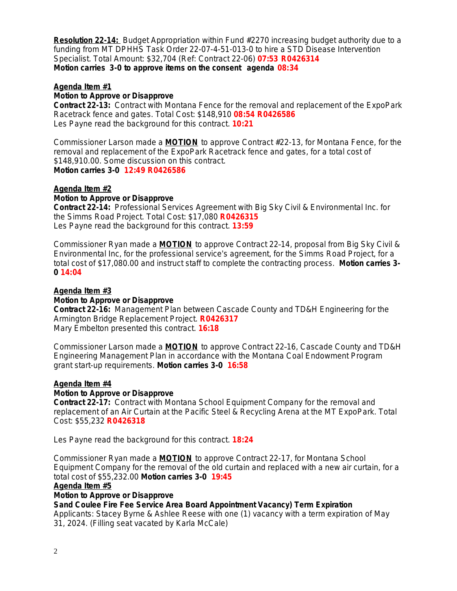**Resolution 22-14:** Budget Appropriation within Fund #2270 increasing budget authority due to a funding from MT DPHHS Task Order 22-07-4-51-013-0 to hire a STD Disease Intervention Specialist. Total Amount: \$32,704 (Ref: Contract 22-06) **07:53 R0426314 Motion carries 3-0 to approve items on the consent agenda 08:34**

### **Agenda Item #1**

### **Motion to Approve or Disapprove**

**Contract 22-13:** Contract with Montana Fence for the removal and replacement of the ExpoPark Racetrack fence and gates. Total Cost: \$148,910 **08:54 R0426586** Les Payne read the background for this contract. **10:21**

Commissioner Larson made a **MOTION** to approve Contract #22-13, for Montana Fence, for the removal and replacement of the ExpoPark Racetrack fence and gates, for a total cost of \$148,910.00. *Some discussion on this contract.* **Motion carries 3-0 12:49 R0426586**

# **Agenda Item #2**

### **Motion to Approve or Disapprove**

**Contract 22-14:** Professional Services Agreement with Big Sky Civil & Environmental Inc. for the Simms Road Project. Total Cost: \$17,080 **R0426315** Les Payne read the background for this contract. **13:59**

Commissioner Ryan made a **MOTION** to approve Contract 22–14, proposal from Big Sky Civil & Environmental Inc, for the professional service's agreement, for the Simms Road Project, for a total cost of \$17,080.00 and instruct staff to complete the contracting process. **Motion carries 3- 0 14:04**

### **Agenda Item #3**

### **Motion to Approve or Disapprove**

**Contract 22-16:** Management Plan between Cascade County and TD&H Engineering for the Armington Bridge Replacement Project. **R0426317** Mary Embelton presented this contract. **16:18**

Commissioner Larson made a **MOTION** to approve Contract 22–16, Cascade County and TD&H Engineering Management Plan in accordance with the Montana Coal Endowment Program grant start-up requirements. **Motion carries 3-0 16:58**

### **Agenda Item #4**

### **Motion to Approve or Disapprove**

**Contract 22-17:** Contract with Montana School Equipment Company for the removal and replacement of an Air Curtain at the Pacific Steel & Recycling Arena at the MT ExpoPark. Total Cost: \$55,232 **R0426318**

Les Payne read the background for this contract. **18:24**

Commissioner Ryan made a **MOTION** to approve Contract 22-17, for Montana School Equipment Company for the removal of the old curtain and replaced with a new air curtain, for a total cost of \$55,232.00 **Motion carries 3-0 19:45**

### **Agenda Item #5**

### **Motion to Approve or Disapprove**

**Sand Coulee Fire Fee Service Area Board Appointment Vacancy) Term Expiration**

Applicants: Stacey Byrne & Ashlee Reese with one (1) vacancy with a term expiration of May 31, 2024. (Filling seat vacated by Karla McCale)